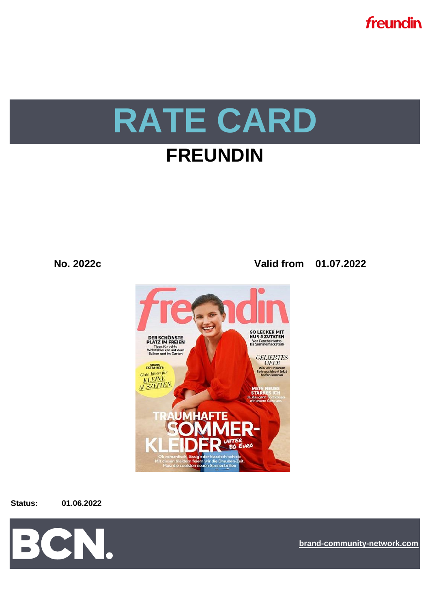

**No. 2022c Valid from 01.07.2022**



#### **Status: 01.06.2022**



**[bra](https://bcn.burda.com/)nd-community-network.com**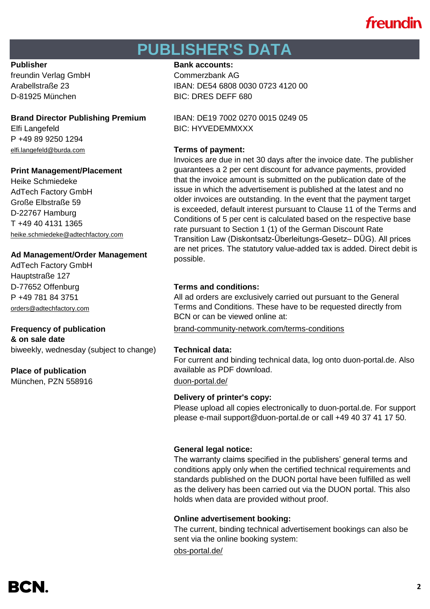## **PUBLISHER'S DATA**

freundin Verlag GmbH Commerzbank AG D-81925 München BIC: DRES DEFF 680

# Elfi Langefeld BIC: HYVEDEMMXXX

P +49 89 9250 1294 [elfi.langefeld@burda.com](mailto:heike.lauber@burda.com) **Terms of payment:**

### **Print Management/Placement**

Heike Schmiedeke AdTech Factory GmbH Große Elbstraße 59 D-22767 Hamburg T +49 40 4131 1365 heike.schmiedeke@adtechfactory.com

### **Ad Management/Order Management**

AdTech Factory GmbH Hauptstraße 127 D-77652 Offenburg **Terms and conditions:** P +49 781 84 3751 [orders@adtechfactory.com](mailto:orders@adtechfactory.com)

## **& on sale date**

biweekly, wednesday (subject to change) **Technical data:**

### **Place of publication**

München, PZN 558916 [duon-portal.de/](https://duon-portal.de/)

### **Publisher Bank accounts: Bank accounts:**

Arabellstraße 23 IBAN: DE54 6808 0030 0723 4120 00

**Brand Director Publishing Premium** IBAN: DE19 7002 0270 0015 0249 05

Invoices are due in net 30 days after the invoice date. The publisher guarantees a 2 per cent discount for advance payments, provided that the invoice amount is submitted on the publication date of the issue in which the advertisement is published at the latest and no older invoices are outstanding. In the event that the payment target is exceeded, default interest pursuant to Clause 11 of the Terms and Conditions of 5 per cent is calculated based on the respective base rate pursuant to Section 1 (1) of the German Discount Rate Transition Law (Diskontsatz-Überleitungs-Gesetz– DÜG). All prices are net prices. The statutory value-added tax is added. Direct debit is possible.

All ad orders are exclusively carried out pursuant to the General Terms and Conditions. These have to be requested directly from BCN or can be viewed online at:

**Frequency of publication** [brand-community-network.com/terms-conditions](https://bcn.burda.com/terms-conditions)

For current and binding technical data, log onto duon-portal.de. Also available as PDF download.

### **Delivery of printer's copy:**

Please upload all copies electronically to duon-portal.de. For support please e-mail support@duon-portal.de or call +49 40 37 41 17 50.

### **General legal notice:**

The warranty claims specified in the publishers' general terms and conditions apply only when the certified technical requirements and standards published on the DUON portal have been fulfilled as well as the delivery has been carried out via the DUON portal. This also holds when data are provided without proof.

### **Online advertisement booking:**

The current, binding technical advertisement bookings can also be sent via the online booking system:

[obs-portal.de/](https://www.obs-portal.de/)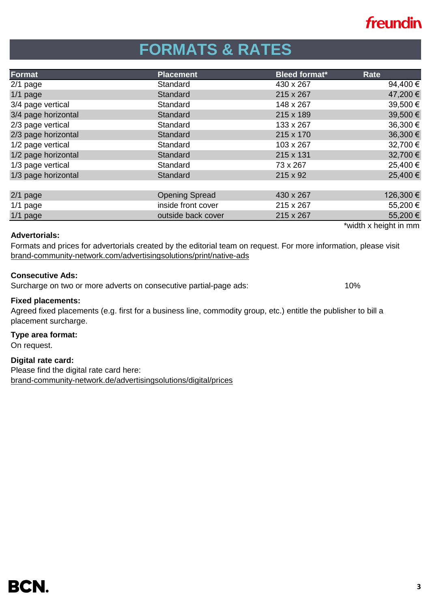# **FORMATS & RATES**

| Format              | <b>Placement</b>      | <b>Bleed format*</b> | Rate                  |
|---------------------|-----------------------|----------------------|-----------------------|
| $2/1$ page          | Standard              | 430 x 267            | 94,400€               |
| $1/1$ page          | Standard              | 215 x 267            | 47,200 €              |
| 3/4 page vertical   | Standard              | 148 x 267            | 39,500€               |
| 3/4 page horizontal | Standard              | 215 x 189            | 39,500€               |
| 2/3 page vertical   | Standard              | 133 x 267            | 36,300 €              |
| 2/3 page horizontal | Standard              | 215 x 170            | 36,300 €              |
| 1/2 page vertical   | Standard              | 103 x 267            | 32,700 €              |
| 1/2 page horizontal | Standard              | 215 x 131            | 32,700 €              |
| 1/3 page vertical   | Standard              | 73 x 267             | 25,400€               |
| 1/3 page horizontal | Standard              | 215 x 92             | 25,400€               |
|                     |                       |                      |                       |
| $2/1$ page          | <b>Opening Spread</b> | 430 x 267            | 126,300 €             |
| $1/1$ page          | inside front cover    | 215 x 267            | 55,200€               |
| $1/1$ page          | outside back cover    | 215 x 267            | 55,200€               |
|                     |                       |                      | *width x height in mm |

### **Advertorials:**

[brand-community-network.com/advertisin](https://bcn.burda.de/werbeloesungen/print/native-ads)gsolutions/print/native-ads Formats and prices for advertorials created by the editorial team on request. For more information, please visit

### **Consecutive Ads:**

Surcharge on two or more adverts on consecutive partial-page ads: 10%

#### **Fixed placements:**

Agreed fixed placements (e.g. first for a business line, commodity group, etc.) entitle the publisher to bill a placement surcharge.

#### **Type area format:**

On request.

### **Digital rate card:**

Please find the digital rate card here: [brand-community-network.de/advertisingsolutions/digital/prices](https://bcn.burda.com/advertisingsolutions/digital/prices)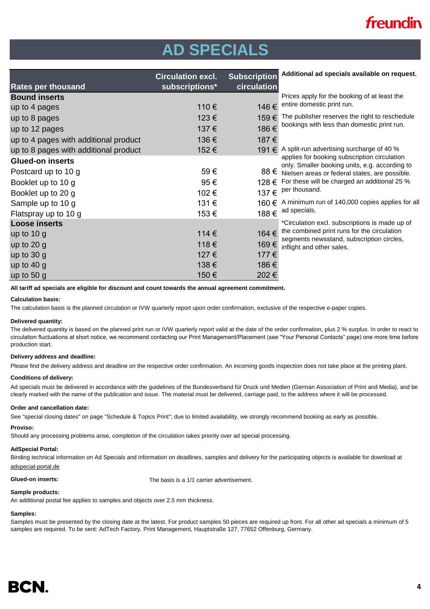# **AD SPECIALS**

|                                       | <b>Circulation excl.</b> | <b>Subscription</b> | Additional ad specials available on request.                                                   |
|---------------------------------------|--------------------------|---------------------|------------------------------------------------------------------------------------------------|
| <b>Rates per thousand</b>             | subscriptions*           | circulation         |                                                                                                |
| <b>Bound inserts</b>                  |                          |                     | Prices apply for the booking of at least the                                                   |
| up to 4 pages                         | 110€                     | 146 €               | entire domestic print run.                                                                     |
| up to 8 pages                         | 123€                     | 159€                | The publisher reserves the right to reschedule                                                 |
| up to 12 pages                        | 137€                     | 186€                | bookings with less than domestic print run.                                                    |
| up to 4 pages with additional product | 136€                     | 187€                |                                                                                                |
| up to 8 pages with additional product | 152€                     |                     | 191 € A split-run advertising surcharge of 40 %                                                |
| <b>Glued-on inserts</b>               |                          |                     | applies for booking subscription circulation<br>only. Smaller booking units, e.g. according to |
| Postcard up to 10 g                   | 59€                      |                     | $88 \n\in$ Nielsen areas or federal states, are possible.                                      |
| Booklet up to 10 g                    | 95€                      |                     | 128 € For these will be charged an additional 25 %                                             |
| Booklet up to 20 g                    | 102€                     | 137€                | per thousand.                                                                                  |
| Sample up to 10 g                     | 131€                     |                     | 160 € A minimum run of 140,000 copies applies for all                                          |
| Flatspray up to 10 g                  | 153€                     |                     | 188 $\epsilon$ ad specials.                                                                    |
| <b>Loose inserts</b>                  |                          |                     | *Circulation excl. subscriptions is made up of                                                 |
| up to $10 g$                          | 114€                     | 164 €               | the combined print runs for the circulation<br>segments newsstand, subscription circles,       |
| up to $20 g$                          | 118€                     | 169€                | inflight and other sales.                                                                      |
| up to $30 g$                          | 127€                     | 177 €               |                                                                                                |
| up to $40 g$                          | 138€                     | 186€                |                                                                                                |
| up to $50 g$                          | 150€                     | 202€                |                                                                                                |

**All tariff ad specials are eligible for discount and count towards the annual agreement commitment.**

#### **Calculation basis:**

The calculation basis is the planned circulation or IVW quarterly report upon order confirmation, exclusive of the respective e-paper copies.

#### **Delivered quantity:**

The delivered quantity is based on the planned print run or IVW quarterly report valid at the date of the order confirmation, plus 2 % surplus. In order to react to circulation fluctuations at short notice, we recommend contacting our Print Management/Placement (see "Your Personal Contacts" page) one more time before production start.

#### **Delivery address and deadline:**

Please find the delivery address and deadline on the respective order confirmation. An incoming goods inspection does not take place at the printing plant.

#### **Conditions of delivery:**

Ad specials must be delivered in accordance with the guidelines of the Bundesverband für Druck und Medien (German Association of Print and Media), and be clearly marked with the name of the publication and issue. The material must be delivered, carriage paid, to the address where it will be processed.

#### **Order and cancellation date:**

See "special closing dates" on page "Schedule & Topics Print"; due to limited availability, we strongly recommend booking as early as possible.

#### **Proviso:**

Should any processing problems arise, completion of the circulation takes priority over ad special processing.

#### **AdSpecial Portal:**

Binding technical information on Ad Specials and information on deadlines, samples and delivery for the participating objects is available for download at adspecial-portal.de

**Glued-on inserts:** The basis is a 1/1 carrier advertisement.

#### **Sample products:**

An additional postal fee applies to samples and objects over 2.5 mm thickness.

#### **Samples:**

Samples must be presented by the closing date at the latest. For product samples 50 pieces are required up front. For all other ad specials a minimum of 5 samples are required. To be sent: AdTech Factory, Print Management, Hauptstraße 127, 77652 Offenburg, Germany.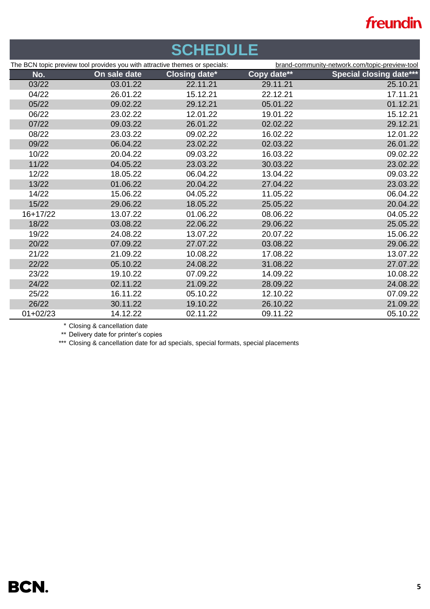| <b>SCHEDULE</b> |                                                                             |                      |             |                                                |  |
|-----------------|-----------------------------------------------------------------------------|----------------------|-------------|------------------------------------------------|--|
|                 | The BCN topic preview tool provides you with attractive themes or specials: |                      |             | brand-community-network.com/topic-preview-tool |  |
| No.             | On sale date                                                                | <b>Closing date*</b> | Copy date** | <b>Special closing date***</b>                 |  |
| 03/22           | 03.01.22                                                                    | 22.11.21             | 29.11.21    | 25.10.21                                       |  |
| 04/22           | 26.01.22                                                                    | 15.12.21             | 22.12.21    | 17.11.21                                       |  |
| 05/22           | 09.02.22                                                                    | 29.12.21             | 05.01.22    | 01.12.21                                       |  |
| 06/22           | 23.02.22                                                                    | 12.01.22             | 19.01.22    | 15.12.21                                       |  |
| 07/22           | 09.03.22                                                                    | 26.01.22             | 02.02.22    | 29.12.21                                       |  |
| 08/22           | 23.03.22                                                                    | 09.02.22             | 16.02.22    | 12.01.22                                       |  |
| 09/22           | 06.04.22                                                                    | 23.02.22             | 02.03.22    | 26.01.22                                       |  |
| 10/22           | 20.04.22                                                                    | 09.03.22             | 16.03.22    | 09.02.22                                       |  |
| 11/22           | 04.05.22                                                                    | 23.03.22             | 30.03.22    | 23.02.22                                       |  |
| 12/22           | 18.05.22                                                                    | 06.04.22             | 13.04.22    | 09.03.22                                       |  |
| 13/22           | 01.06.22                                                                    | 20.04.22             | 27.04.22    | 23.03.22                                       |  |
| 14/22           | 15.06.22                                                                    | 04.05.22             | 11.05.22    | 06.04.22                                       |  |
| 15/22           | 29.06.22                                                                    | 18.05.22             | 25.05.22    | 20.04.22                                       |  |
| $16+17/22$      | 13.07.22                                                                    | 01.06.22             | 08.06.22    | 04.05.22                                       |  |
| 18/22           | 03.08.22                                                                    | 22.06.22             | 29.06.22    | 25.05.22                                       |  |
| 19/22           | 24.08.22                                                                    | 13.07.22             | 20.07.22    | 15.06.22                                       |  |
| 20/22           | 07.09.22                                                                    | 27.07.22             | 03.08.22    | 29.06.22                                       |  |
| 21/22           | 21.09.22                                                                    | 10.08.22             | 17.08.22    | 13.07.22                                       |  |
| 22/22           | 05.10.22                                                                    | 24.08.22             | 31.08.22    | 27.07.22                                       |  |
| 23/22           | 19.10.22                                                                    | 07.09.22             | 14.09.22    | 10.08.22                                       |  |
| 24/22           | 02.11.22                                                                    | 21.09.22             | 28.09.22    | 24.08.22                                       |  |
| 25/22           | 16.11.22                                                                    | 05.10.22             | 12.10.22    | 07.09.22                                       |  |
| 26/22           | 30.11.22                                                                    | 19.10.22             | 26.10.22    | 21.09.22                                       |  |
| $01+02/23$      | 14.12.22                                                                    | 02.11.22             | 09.11.22    | 05.10.22                                       |  |
|                 | $\ddot{\phantom{1}}$                                                        |                      |             |                                                |  |

\* Closing & cancellation date

\*\* Delivery date for printer's copies

\*\*\* Closing & cancellation date for ad specials, special formats, special placements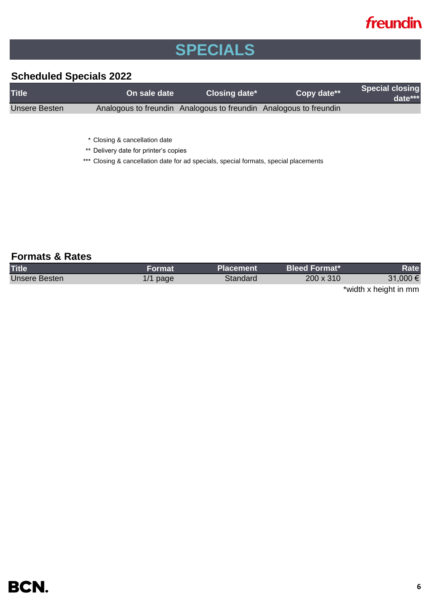# **SPECIALS**

### **Scheduled Specials 2022**

| <b>Title</b>  | On sale date | Closing date*                                                     | Copy date** | <b>Special closing</b><br>$date***$ |
|---------------|--------------|-------------------------------------------------------------------|-------------|-------------------------------------|
| Unsere Besten |              | Analogous to freundin Analogous to freundin Analogous to freundin |             |                                     |
|               |              |                                                                   |             |                                     |

\* Closing & cancellation date

\*\* Delivery date for printer's copies

\*\*\* Closing & cancellation date for ad specials, special formats, special placements

### **Formats & Rates**

| <b>Title</b>         | Format     | 'Placement | <b>Bleed Format*</b> | Rate                  |
|----------------------|------------|------------|----------------------|-----------------------|
| <b>Unsere Besten</b> | $1/1$ page | Standard   | 200 x 310            | 31,000 €              |
|                      |            |            |                      | *width x height in mm |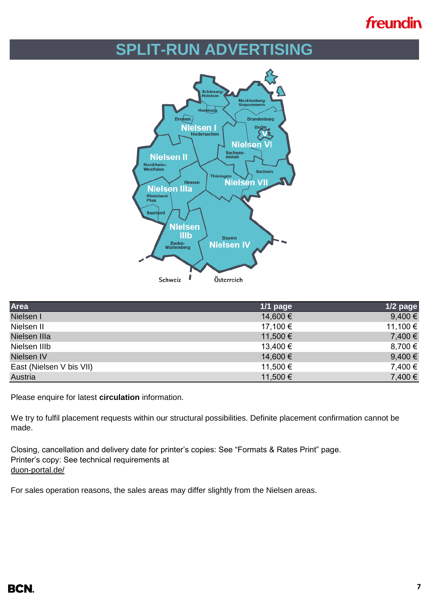## **SPLIT-RUN ADVERTISING**



| Area                     | $1/1$ page | $1/2$ page  |
|--------------------------|------------|-------------|
| Nielsen I                | 14,600 €   | $9,400 \in$ |
| Nielsen II               | 17,100 €   | 11,100 €    |
| Nielsen IIIa             | 11,500 €   | 7,400 €     |
| Nielsen IIIb             | 13,400 €   | 8,700 €     |
| Nielsen IV               | 14,600 €   | $9,400 \in$ |
| East (Nielsen V bis VII) | 11,500 €   | 7,400 €     |
| Austria                  | 11,500 €   | 7,400 €     |

Please enquire for latest **circulation** information.

We try to fulfil placement requests within our structural possibilities. Definite placement confirmation cannot be made.

Closing, cancellation and delivery date for printer's copies: See "Formats & Rates Print" page. Printer's copy: See technical requirements at [duon-portal.de/](https://duon-portal.de/)

For sales operation reasons, the sales areas may differ slightly from the Nielsen areas.